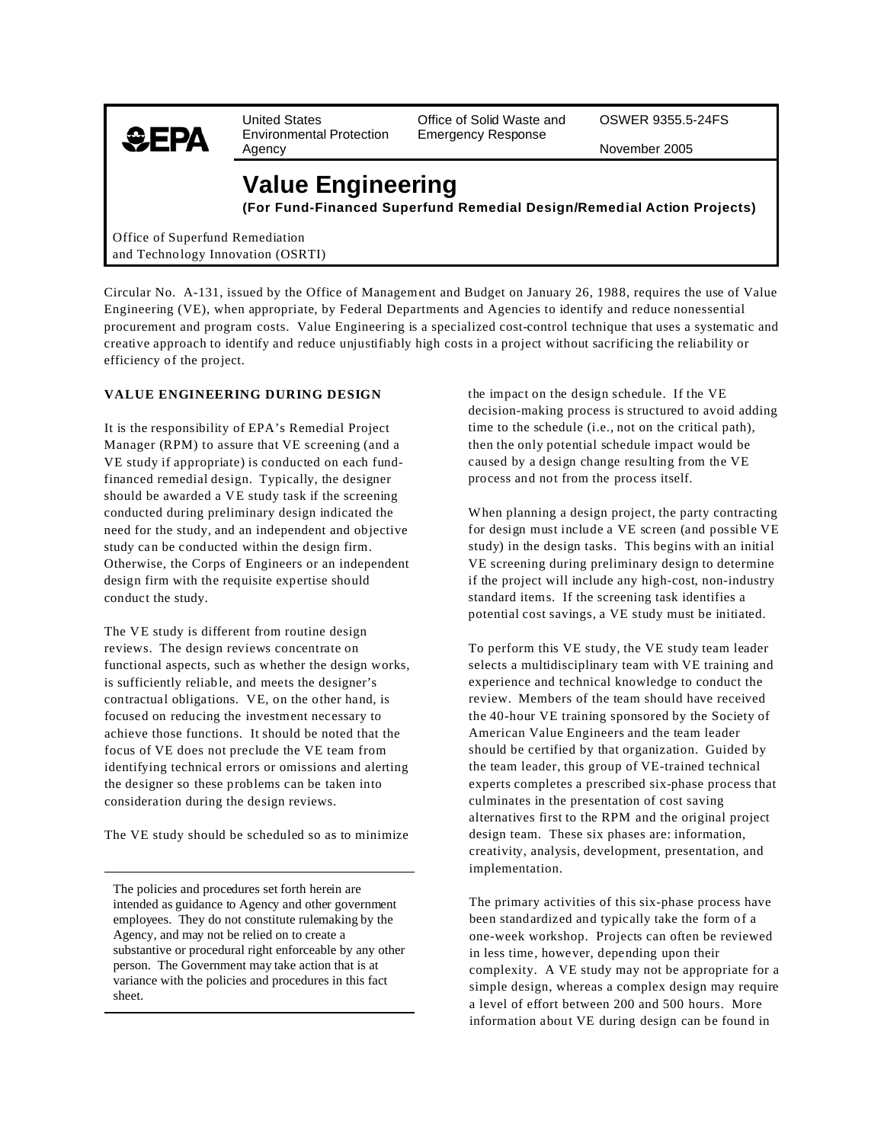

Environmental Protection<br>Agency

United States **Office of Solid Waste and** OSWER 9355.5-24FS<br>
Environmental Protection Emergency Response

November 2005

## **Value Engineering**

**(For Fund-Financed Superfund Remedial Design/Remedial Action Projects)** 

Office of Superfund Remediation and Technology Innovation (OSRTI)

Circular No. A-131, issued by the Office of Management and Budget on January 26, 1988, requires the use of Value Engineering (VE), when appropriate, by Federal Departments and Agencies to identify and reduce nonessential procurement and program costs. Value Engineering is a specialized cost-control technique that uses a systematic and creative approach to identify and reduce unjustifiably high costs in a project without sacrificing the reliability or efficiency of the project.

## **VALUE ENGINEERING DURING DESIGN**

It is the responsibility of EPA's Remedial Project Manager (RPM) to assure that VE screening (and a VE study if appropriate) is conducted on each fundfinanced remedial design. Typically, the designer should be awarded a VE study task if the screening conducted during preliminary design indicated the need for the study, and an independent and objective study can be conducted within the design firm. Otherwise, the Corps of Engineers or an independent design firm with the requisite expertise should conduct the study.

The VE study is different from routine design reviews. The design reviews concentrate on functional aspects, such as whether the design works, is sufficiently reliable, and meets the designer's contractual obligations. VE, on the other hand, is focused on reducing the investment necessary to achieve those functions. It should be noted that the focus of VE does not preclude the VE team from identifying technical errors or omissions and alerting the designer so these problems can be taken into consideration during the design reviews.

The VE study should be scheduled so as to minimize

The policies and procedures set forth herein are intended as guidance to Agency and other government employees. They do not constitute rulemaking by the Agency, and may not be relied on to create a substantive or procedural right enforceable by any other person. The Government may take action that is at variance with the policies and procedures in this fact sheet.

the impact on the design schedule. If the VE decision-making process is structured to avoid adding time to the schedule (i.e., not on the critical path), then the only potential schedule impact would be caused by a design change resulting from the VE process and not from the process itself.

When planning a design project, the party contracting for design must include a VE screen (and possible VE study) in the design tasks. This begins with an initial VE screening during preliminary design to determine if the project will include any high-cost, non-industry standard items. If the screening task identifies a potential cost savings, a VE study must be initiated.

To perform this VE study, the VE study team leader selects a multidisciplinary team with VE training and experience and technical knowledge to conduct the review. Members of the team should have received the 40-hour VE training sponsored by the Society of American Value Engineers and the team leader should be certified by that organization. Guided by the team leader, this group of VE-trained technical experts completes a prescribed six-phase process that culminates in the presentation of cost saving alternatives first to the RPM and the original project design team. These six phases are: information, creativity, analysis, development, presentation, and implementation.

The primary activities of this six-phase process have been standardized and typically take the form of a one-week workshop. Projects can often be reviewed in less time, however, depending upon their complexity. A VE study may not be appropriate for a simple design, whereas a complex design may require a level of effort between 200 and 500 hours. More information about VE during design can be found in